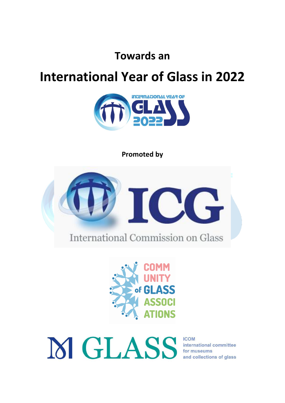**Towards an** 

# **International Year of Glass in 2022**



**Promoted by**



Fof GI

M GLASS for museums and collections of glass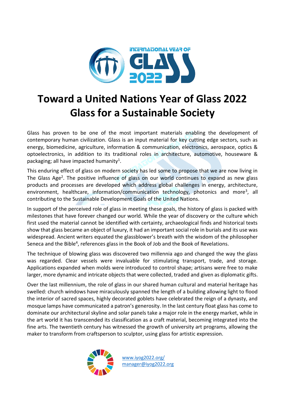

## **Toward a United Nations Year of Glass 2022 Glass for a Sustainable Society**

Glass has proven to be one of the most important materials enabling the development of contemporary human civilization. Glass is an input material for key cutting edge sectors, such as energy, biomedicine, agriculture, information & communication, electronics, aerospace, optics & optoelectronics, in addition to its traditional roles in architecture, automotive, houseware & packaging; all have impacted humanity<sup>1</sup>.

This enduring effect of glass on modern society has led some to propose that we are now living in The Glass Age<sup>2</sup>. The positive influence of glass on our world continues to expand as new glass products and processes are developed which address global challenges in energy, architecture, environment, healthcare, information/communication technology, photonics and more<sup>3</sup>, all contributing to the Sustainable Development Goals of the United Nations.

In support of the perceived role of glass in meeting these goals, the history of glass is packed with milestones that have forever changed our world. While the year of discovery or the culture which first used the material cannot be identified with certainty, archaeological finds and historical texts show that glass became an object of luxury, it had an important social role in burials and its use was widespread. Ancient writers equated the glassblower's breath with the wisdom of the philosopher Seneca and the Bible<sup>4</sup>, references glass in the Book of Job and the Book of Revelations.

The technique of blowing glass was discovered two millennia ago and changed the way the glass was regarded. Clear vessels were invaluable for stimulating transport, trade, and storage. Applications expanded when molds were introduced to control shape; artisans were free to make larger, more dynamic and intricate objects that were collected, traded and given as diplomatic gifts.

Over the last millennium, the role of glass in our shared human cultural and material heritage has swelled: church windows have miraculously spanned the length of a building allowing light to flood the interior of sacred spaces, highly decorated goblets have celebrated the reign of a dynasty, and mosque lamps have communicated a patron's generosity. In the last century float glass has come to dominate our architectural skyline and solar panels take a major role in the energy market, while in the art world it has transcended its classification as a craft material, becoming integrated into the fine arts. The twentieth century has witnessed the growth of university art programs, allowing the maker to transform from craftsperson to sculptor, using glass for artistic expression.

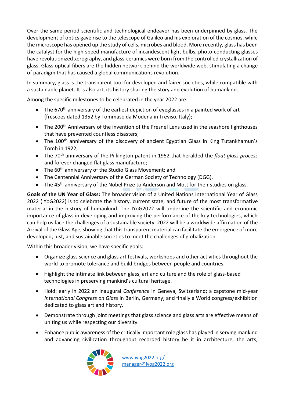Over the same period scientific and technological endeavor has been underpinned by glass. The development of optics gave rise to the telescope of Galileo and his exploration of the cosmos, while the microscope has opened up the study of cells, microbes and blood. More recently, glass has been the catalyst for the high-speed manufacture of incandescent light bulbs, photo-conducting glasses have revolutionized xerography, and glass-ceramics were born from the controlled crystallization of glass. Glass optical fibers are the hidden network behind the worldwide web, stimulating a change of paradigm that has caused a global communications revolution.

In summary, glass is the transparent tool for developed and fairer societies, while compatible with a sustainable planet. It is also art, its history sharing the story and evolution of humankind.

Among the specific milestones to be celebrated in the year 2022 are:

- The 670<sup>th</sup> anniversary of the earliest depiction of eyeglasses in a painted work of art (frescoes dated 1352 by Tommaso da Modena in Treviso, Italy);
- The 200<sup>th</sup> Anniversary of the invention of the Fresnel Lens used in the seashore lighthouses that have prevented countless disasters;
- The 100<sup>th</sup> anniversary of the discovery of ancient Egyptian Glass in King Tutankhamun's Tomb in 1922;
- The 70th anniversary of the Pilkington patent in 1952 that heralded the *float glass process*  and forever changed flat glass manufacture;
- The  $60<sup>th</sup>$  anniversary of the Studio Glass Movement; and
- The Centennial Anniversary of the German Society of Technology (DGG).
- The 45<sup>th</sup> anniversary of the Nobel Prize to Anderson and Mott for their studies on glass.

**Goals of the UN Year of Glass:** The broader vision of a United Nations International Year of Glass 2022 (IYoG2022) is to celebrate the history, current state, and future of the most transformative material in the history of humankind. The IYoG2022 will underline the scientific and economic importance of glass in developing and improving the performance of the key technologies, which can help us face the challenges of a sustainable society. 2022 will be a worldwide affirmation of the Arrival of the Glass Age, showing that this transparent material can facilitate the emergence of more developed, just, and sustainable societies to meet the challenges of globalization.

Within this broader vision, we have specific goals:

- Organize glass science and glass art festivals, workshops and other activities throughout the world to promote tolerance and build bridges between people and countries.
- Highlight the intimate link between glass, art and culture and the role of glass-based technologies in preserving mankind's cultural heritage.
- Hold: early in 2022 an inaugural *Conference* in Geneva, Switzerland; a capstone mid-year *International Congress on Glass* in Berlin, Germany; and finally a World congress/exhibition dedicated to glass art and history.
- Demonstrate through joint meetings that glass science and glass arts are effective means of uniting us while respecting our diversity.
- Enhance public awareness of the critically important role glass has played in serving mankind and advancing civilization throughout recorded history be it in architecture, the arts,

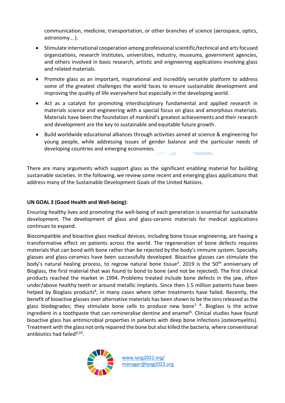communication, medicine, transportation, or other branches of science (aerospace, optics, astronomy… ).

- Stimulate international cooperation among professional scientific/technical and arts focused organizations, research institutes, universities, industry, museums, government agencies, and others involved in basic research, artistic and engineering applications involving glass and related materials.
- Promote glass as an important, inspirational and incredibly versatile platform to address some of the greatest challenges the world faces to ensure sustainable development and improving the quality of life everywhere but especially in the developing world.
- Act as a catalyst for promoting interdisciplinary fundamental and applied research in materials science and engineering with a special focus on glass and amorphous materials. Materials have been the foundation of mankind's greatest achievements and their research and development are the key to sustainable and equitable future growth.
- Build worldwide educational alliances through activities aimed at science & engineering for young people, while addressing issues of gender balance and the particular needs of developing countries and emerging economies.

There are many arguments which support glass as the significant enabling material for building sustainable societies. In the following, we review some recent and emerging glass applications that address many of the Sustainable Development Goals of the United Nations.

#### **UN GOAL 3 (Good Health and Well-being):**

Ensuring healthy lives and promoting the well-being of each generation is essential for sustainable development. The development of glass and glass-ceramic materials for medical applications continues to expand.

Biocompatible and bioactive glass medical devices, including bone tissue engineering, are having a transformative effect on patients across the world. The regeneration of bone defects requires materials that can bond with bone rather than be rejected by the body's immune system. Specialty glasses and glass-ceramics have been successfully developed. Bioactive glasses can stimulate the body's natural healing process, to regrow natural bone tissue<sup>5</sup>. 2019 is the 50<sup>th</sup> anniversary of Bioglass, the first material that was found to bond to bone (and not be rejected). The first clinical products reached the market in 1994. Problems treated include bone defects in the jaw, often under/above healthy teeth or around metallic implants. Since then 1.5 million patients have been helped by Bioglass products<sup>6</sup>, in many cases where other treatments have failed. Recently, the benefit of bioactive glasses over alternative materials has been shown to be the ions released as the glass biodegrades; they stimulate bone cells to produce new bone<sup>7, 8</sup>. Bioglass is the active ingredient in a toothpaste that can remineralise dentine and enamel<sup>[6](#page-3-0)</sup>. Clinical studies have found bioactive glass has antimicrobial properties in patients with deep bone infections (osteomyelitis). Treatment with the glass not only repaired the bone but also killed the bacteria, where conventional antibiotics had failed<sup>9,10</sup>.

<span id="page-3-0"></span>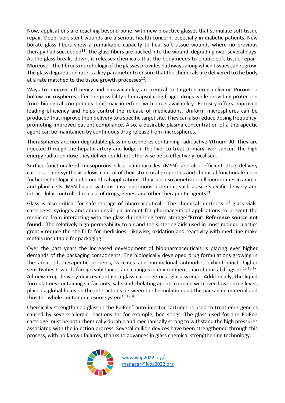Now, applications are reaching beyond bone, with new bioactive glasses that stimulate soft tissue repair. Deep, persistent wounds are a serious health concern, especially in diabetic patients. New borate glass fibers show a remarkable capacity to heal soft tissue wounds where no previous therapy had succeeded<sup>11</sup>. The glass fibers are packed into the wound, degrading over several days. As the glass breaks down, it releases chemicals that the body needs to enable soft tissue repair. Moreover, the fibrous morphology of the glasses provides pathways along which tissues can regrow. The glass degradation rate is a key parameter to ensure that the chemicals are delivered to the body at a rate matched to the tissue growth processes<sup>12</sup>.

Ways to improve efficiency and bioavailability are central to targeted drug delivery. Porous or hollow microspheres offer the possibility of encapsulating fragile drugs while providing protection from biological compounds that may interfere with drug availability. Porosity offers improved loading efficiency and helps control the release of medications. Uniform microspheres can be produced that improve their delivery to a specific target site. They can also reduce dosing frequency, promoting improved patient compliance. Also, a desirable plasma concentration of a therapeutic agent can be maintained by continuous drug release from microspheres.

TheraSpheres are non-degradable glass microspheres containing radioactive Yttrium‐90. They are injected through the hepatic artery and lodge in the liver to treat primary liver cancer. The high energy radiation dose they deliver could not otherwise be so effectively localised.

Surface-functionalized mesoporous silica nanoparticles (MSN) are also efficient drug delivery carriers. Their synthesis allows control of their structural properties and chemical functionalization for biotechnological and biomedical applications. They can also penetrate cell membranes in animal and plant cells. MSN-based systems have enormous potential, such as site-specific delivery and intracellular controlled release of drugs, genes, and other therapeutic agents $^{13}$ .

Glass is also critical for safe storage of pharmaceuticals. The chemical inertness of glass vials, cartridges, syringes and ampoules is paramount for pharmaceutical applications to prevent the medicine from interacting with the glass during long-term storage<sup>14</sup>Error! Reference source not **found.**. The relatively high permeability to air and the sintering aids used in most molded plastics greatly reduce the shelf life for medicines. Likewise, oxidation and reactivity with medicine make metals unsuitable for packaging.

Over the past years the increased development of biopharmaceuticals is placing ever higher demands of the packaging components. The biologically developed drug formulations growing in the areas of therapeutic proteins, vaccines and monoclonal antibodies exhibit much higher sensitivities towards foreign substances and changes in environment than chemical drugs do<sup>15,16,17</sup>. All new drug delivery devices contain a glass cartridge or a glass syringe. Additionally, the liquid formulations containing surfactants, salts and chelating agents coupled with even lower drug levels placed a global focus on the interactions between the formulation and the packaging material and thus the whole container closure system<sup>18,19,20</sup>.

Chemically strengthened glass in the EpiPen® auto-injector cartridge is used to treat emergencies caused by severe allergic reactions to, for example, bee stings. The glass used for the EpiPen cartridge must be both chemically durable and mechanically strong to withstand the high pressures associated with the injection process. Several million devices have been strengthened through this process, with no known failures, thanks to advances in glass chemical strengthening technology.

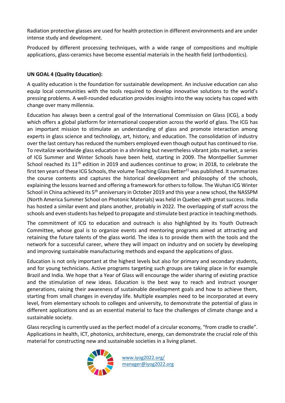Radiation protective glasses are used for health protection in different environments and are under intense study and development.

Produced by different processing techniques, with a wide range of compositions and multiple applications, glass-ceramics have become essential materials in the health field (orthodontics).

#### **UN GOAL 4 (Quality Education):**

A quality education is the foundation for sustainable development. An inclusive education can also equip local communities with the tools required to develop innovative solutions to the world's pressing problems. A well-rounded education provides insights into the way society has coped with change over many millennia.

Education has always been a central goal of the International Commission on Glass (ICG), a body which offers a global platform for international cooperation across the world of glass. The ICG has an important mission to stimulate an understanding of glass and promote interaction among experts in glass science and technology, art, history, and education. The consolidation of industry over the last century has reduced the numbers employed even though output has continued to rise. To revitalize worldwide glass education in a shrinking but nevertheless vibrant jobs market, a series of ICG Summer and Winter Schools have been held, starting in 2009. The Montpellier Summer School reached its 11<sup>th</sup> edition in 2019 and audiences continue to grow; in 2018, to celebrate the first ten years of these ICG Schools, the volume Teaching Glass Better*<sup>21</sup>* was published. It summarizes the course contents and captures the historical development and philosophy of the schools, explaining the lessons learned and offering a framework for others to follow. The Wuhan ICG Winter School in China achieved its 5<sup>th</sup> anniversary in October 2019 and this year a new school, the NASSPM (North America Summer School on Photonic Materials) was held in Quebec with great success. India has hosted a similar event and plans another, probably in 2022. The overlapping of staff across the schools and even students has helped to propagate and stimulate best practice in teaching methods.

The commitment of ICG to education and outreach is also highlighted by its Youth Outreach Committee, whose goal is to organize events and mentoring programs aimed at attracting and retaining the future talents of the glass world. The idea is to provide them with the tools and the network for a successful career, where they will impact on industry and on society by developing and improving sustainable manufacturing methods and expand the applications of glass.

Education is not only important at the highest levels but also for primary and secondary students, and for young technicians. Active programs targeting such groups are taking place in for example Brazil and India. We hope that a Year of Glass will encourage the wider sharing of existing practice and the stimulation of new ideas. Education is the best way to reach and instruct younger generations, raising their awareness of sustainable development goals and how to achieve them, starting from small changes in everyday life. Multiple examples need to be incorporated at every level, from elementary schools to colleges and university, to demonstrate the potential of glass in different applications and as an essential material to face the challenges of climate change and a sustainable society.

Glass recycling is currently used as the perfect model of a circular economy, "from cradle to cradle". Applications in health, ICT, photonics, architecture, energy, can demonstrate the crucial role of this material for constructing new and sustainable societies in a living planet.

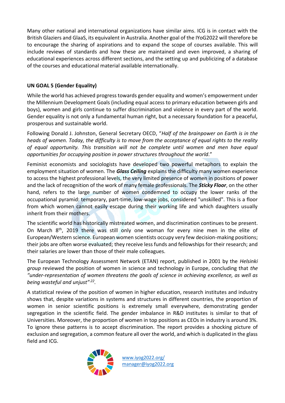Many other national and international organizations have similar aims. ICG is in contact with the British Glaziers and GlaaS, its equivalent in Australia. Another goal of the IYoG2022 will therefore be to encourage the sharing of aspirations and to expand the scope of courses available. This will include reviews of standards and how these are maintained and even improved, a sharing of educational experiences across different sections, and the setting up and publicizing of a database of the courses and educational material available internationally.

### **UN GOAL 5 (Gender Equality)**

While the world has achieved progress towards gender equality and women's empowerment under the Millennium Development Goals (including equal access to primary education between girls and boys), women and girls continue to suffer discrimination and violence in every part of the world. Gender equality is not only a fundamental human right, but a necessary foundation for a peaceful, prosperous and sustainable world.

Following Donald J. Johnston, General Secretary OECD, "*Half of the brainpower on Earth is in the heads of women. Today, the difficulty is to move from the acceptance of equal rights to the reality of equal opportunity. This transition will not be complete until women and men have equal opportunities for occupying position in power structures throughout the world*."

Feminist economists and sociologists have developed two powerful metaphors to explain the employment situation of women. The *Glass Ceiling* explains the difficulty many women experience to access the highest professional levels, the very limited presence of women in positions of power and the lack of recognition of the work of many female professionals. The *Sticky Floor*, on the other hand, refers to the large number of women condemned to occupy the lower ranks of the occupational pyramid: temporary, part-time, low-wage jobs, considered "unskilled". This is a floor from which women cannot easily escape during their working life and which daughters usually inherit from their mothers.

The scientific world has historically mistreated women, and discrimination continues to be present. On March 8th, 2019 there was still only one woman for every nine men in the elite of European/Western science. European women scientists occupy very few decision-making positions; their jobs are often worse evaluated; they receive less funds and fellowships for their research; and their salaries are lower than those of their male colleagues.

The European Technology Assessment Network (ETAN) report, published in 2001 by the *Helsinki group* reviewed the position of women in science and technology in Europe, concluding that *the "under-representation of women threatens the goals of science in achieving excellence, as well as being wasteful and unjust"*.*<sup>22</sup> .*

A statistical review of the position of women in higher education, research institutes and industry shows that, despite variations in systems and structures in different countries, the proportion of women in senior scientific positions is extremely small everywhere, demonstrating gender segregation in the scientific field. The gender imbalance in R&D institutes is similar to that of Universities. Moreover, the proportion of women in top positions as CEOs in industry is around 3%. To ignore these patterns is to accept discrimination. The report provides a shocking picture of exclusion and segregation, a common feature all over the world, and which is duplicated in the glass field and ICG.

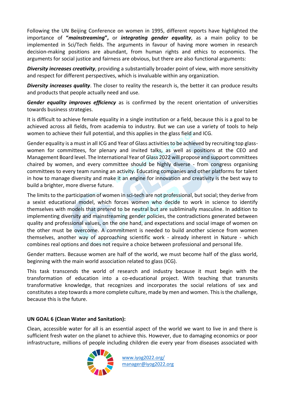Following the UN Beijing Conference on women in 1995, different reports have highlighted the importance of **"***mainstreaming***",** or *integrating gender equality*, as a main policy to be implemented in Sci/Tech fields. The arguments in favour of having more women in research decision-making positions are abundant, from human rights and ethics to economics. The arguments for social justice and fairness are obvious, but there are also functional arguments:

*Diversity increases creativity*, providing a substantially broader point of view, with more sensitivity and respect for different perspectives, which is invaluable within any organization.

*Diversity increases quality*. The closer to reality the research is, the better it can produce results and products that people actually need and use.

*Gender equality improves efficiency* as is confirmed by the recent orientation of universities towards business strategies.

It is difficult to achieve female equality in a single institution or a field, because this is a goal to be achieved across all fields, from academia to industry. But we can use a variety of tools to help women to achieve their full potential, and this applies in the glass field and ICG.

Gender equality is a must in all ICG and Year of Glass activities to be achieved by recruiting top glasswomen for committees, for plenary and invited talks, as well as positions at the CEO and Management Board level. The International Year of Glass 2022 will propose and support committees chaired by women, and every committee should be highly diverse - from congress organising committees to every team running an activity. Educating companies and other platforms for talent in how to manage diversity and make it an engine for innovation and creativity is the best way to build a brighter, more diverse future.

The limits to the participation of women in sci-tech are not professional, but social; they derive from a sexist educational model, which forces women who decide to work in science to identify themselves with models that pretend to be neutral but are subliminally masculine. In addition to implementing diversity and mainstreaming gender policies, the contradictions generated between quality and professional values, on the one hand, and expectations and social image of women on the other must be overcome. A commitment is needed to build another science from women themselves, another way of approaching scientific work - already inherent in Nature - which combines real options and does not require a choice between professional and personal life.

Gender matters. Because women are half of the world, we must become half of the glass world, beginning with the main world association related to glass (ICG).

This task transcends the world of research and industry because it must begin with the transformation of education into a co-educational project. With teaching that transmits transformative knowledge, that recognizes and incorporates the social relations of sex and constitutes a step towards a more complete culture, made by men and women. This is the challenge, because this is the future.

#### **UN GOAL 6 (Clean Water and Sanitation):**

Clean, accessible water for all is an essential aspect of the world we want to live in and there is sufficient fresh water on the planet to achieve this. However, due to damaging economics or poor infrastructure, millions of people including children die every year from diseases associated with

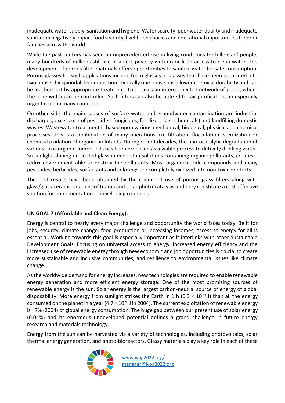inadequate water supply, sanitation and hygiene. Water scarcity, poor water quality and inadequate sanitation negatively impact food security, livelihood choices and educational opportunities for poor families across the world.

While the past century has seen an unprecedented rise in living conditions for billions of people, many hundreds of millions still live in abject poverty with no or little access to clean water. The development of porous filter materials offers opportunities to sanitize water for safe consumption. Porous glasses for such applications include foam glasses or glasses that have been separated into two phases by spinodal decomposition. Typically one phase has a lower chemical durability and can be leached out by appropriate treatment. This leaves an interconnected network of pores, where the pore width can be controlled. Such filters can also be utilized for air purification, an especially urgent issue in many countries.

On other side, the main causes of surface water and groundwater contamination are industrial discharges, excess use of pesticides, fungicides, fertilizers (agrochemicals) and landfilling domestic wastes. Wastewater treatment is based upon various mechanical, biological, physical and chemical processes. This is a combination of many operations like filtration, flocculation, sterilization or chemical oxidation of organic pollutants. During recent decades, the photocatalytic degradation of various toxic organic compounds has been proposed as a viable process to detoxify drinking water. So sunlight shining on coated glass immersed in solutions containing organic pollutants, creates a redox environment able to destroy the pollutants. Most organochloride compounds and many pesticides, herbicides, surfactants and colorings are completely oxidized into non-toxic products.

The best results have been obtained by the combined use of porous glass filters along with glass/glass-ceramic coatings of titania and solar photo-catalysis and they constitute a cost-effective solution for implementation in developing countries.

#### **UN GOAL 7 (Affordable and Clean Energy):**

Energy is central to nearly every major challenge and opportunity the world faces today. Be it for jobs, security, climate change, food production or increasing incomes, access to energy for all is essential. Working towards this goal is especially important as it interlinks with other Sustainable Development Goals. Focusing on universal access to energy, increased energy efficiency and the increased use of renewable energy through new economic and job opportunities is crucial to create more sustainable and inclusive communities, and resilience to environmental issues like climate change.

As the worldwide demand for energy increases, new technologies are required to enable renewable energy generation and more efficient energy storage. One of the most promising sources of renewable energy is the sun. Solar energy is the largest carbon-neutral source of energy of global disposability. More energy from sunlight strikes the Earth in 1 h (6.3  $\times$  10<sup>20</sup> J) than all the energy consumed on the planet in a year  $(4.7 \times 10^{20}$  J in 2004). The current exploitation of renewable energy is ≈7% (2004) of global energy consumption. The huge gap between our present use of solar energy (0.04%) and its enormous undeveloped potential defines a grand challenge in future energy research and materials technology.

Energy from the sun can be harvested via a variety of technologies, including photovoltaics, solar thermal energy generation, and photo-bioreactors. Glassy materials play a key role in each of these

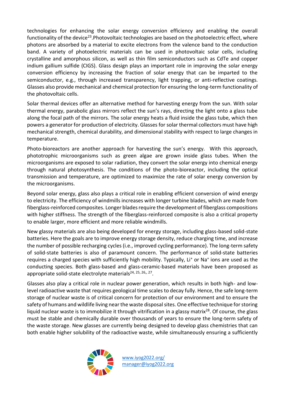technologies for enhancing the solar energy conversion efficiency and enabling the overall functionality of the device<sup>23</sup>. Photovoltaic technologies are based on the photoelectric effect, where photons are absorbed by a material to excite electrons from the valence band to the conduction band. A variety of photoelectric materials can be used in photovoltaic solar cells, including crystalline and amorphous silicon, as well as thin film semiconductors such as CdTe and copper indium gallium sulfide (CIGS). Glass design plays an important role in improving the solar energy conversion efficiency by increasing the fraction of solar energy that can be imparted to the semiconductor, e.g., through increased transparency, light trapping, or anti-reflective coatings. Glasses also provide mechanical and chemical protection for ensuring the long-term functionality of the photovoltaic cells.

Solar thermal devices offer an alternative method for harvesting energy from the sun. With solar thermal energy, parabolic glass mirrors reflect the sun's rays, directing the light onto a glass tube along the focal path of the mirrors. The solar energy heats a fluid inside the glass tube, which then powers a generator for production of electricity. Glasses for solar thermal collectors must have high mechanical strength, chemical durability, and dimensional stability with respect to large changes in temperature.

Photo-bioreactors are another approach for harvesting the sun's energy. With this approach, phototrophic microorganisms such as green algae are grown inside glass tubes. When the microorganisms are exposed to solar radiation, they convert the solar energy into chemical energy through natural photosynthesis. The conditions of the photo-bioreactor, including the optical transmission and temperature, are optimized to maximize the rate of solar energy conversion by the microorganisms.

Beyond solar energy, glass also plays a critical role in enabling efficient conversion of wind energy to electricity. The efficiency of windmills increases with longer turbine blades, which are made from fiberglass-reinforced composites. Longer blades require the development of fiberglass compositions with higher stiffness. The strength of the fiberglass-reinforced composite is also a critical property to enable larger, more efficient and more reliable windmills.

New glassy materials are also being developed for energy storage, including glass-based solid-state batteries. Here the goals are to improve energy storage density, reduce charging time, and increase the number of possible recharging cycles (i.e., improved cycling performance). The long-term safety of solid-state batteries is also of paramount concern. The performance of solid-state batteries requires a charged species with sufficiently high mobility. Typically, Li<sup>+</sup> or Na<sup>+</sup> ions are used as the conducting species. Both glass-based and glass-ceramic-based materials have been proposed as appropriate solid-state electrolyte materials<sup>24, 25, 26,, 27</sup>.

Glasses also play a critical role in nuclear power generation, which results in both high- and lowlevel radioactive waste that requires geological time scales to decay fully. Hence, the safe long-term storage of nuclear waste is of critical concern for protection of our environment and to ensure the safety of humans and wildlife living near the waste disposal sites. One effective technique for storing liquid nuclear waste is to immobilize it through vitrification in a glassy matrix<sup>28</sup>. Of course, the glass must be stable and chemically durable over thousands of years to ensure the long-term safety of the waste storage. New glasses are currently being designed to develop glass chemistries that can both enable higher solubility of the radioactive waste, while simultaneously ensuring a sufficiently

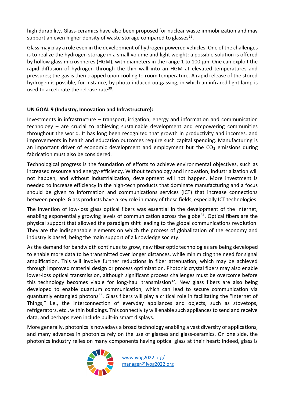high durability. Glass-ceramics have also been proposed for nuclear waste immobilization and may support an even higher density of waste storage compared to glasses<sup>29</sup>.

Glass may play a role even in the development of hydrogen-powered vehicles. One of the challenges is to realize the hydrogen storage in a small volume and light weight; a possible solution is offered by hollow glass microspheres (HGM), with diameters in the range 1 to 100 μm. One can exploit the rapid diffusion of hydrogen through the thin wall into an HGM at elevated temperatures and pressures; the gas is then trapped upon cooling to room temperature. A rapid release of the stored hydrogen is possible, for instance, by photo-induced outgassing, in which an infrared light lamp is used to accelerate the release rate<sup>30</sup>.

#### **UN GOAL 9 (Industry, Innovation and Infrastructure):**

Investments in infrastructure – transport, irrigation, energy and information and communication technology – are crucial to achieving sustainable development and empowering communities throughout the world. It has long been recognized that growth in productivity and incomes, and improvements in health and education outcomes require such capital spending. Manufacturing is an important driver of economic development and employment but the  $CO<sub>2</sub>$  emissions during fabrication must also be considered.

Technological progress is the foundation of efforts to achieve environmental objectives, such as increased resource and energy-efficiency. Without technology and innovation, industrialization will not happen, and without industrialization, development will not happen. More investment is needed to increase efficiency in the high-tech products that dominate manufacturing and a focus should be given to information and communications services (ICT) that increase connections between people. Glass products have a key role in many of these fields, especially ICT technologies.

The invention of low-loss glass optical fibers was essential in the development of the Internet, enabling exponentially growing levels of communication across the globe<sup>31</sup>. Optical fibers are the physical support that allowed the paradigm shift leading to the global communications revolution. They are the indispensable elements on which the process of globalization of the economy and industry is based, being the main support of a knowledge society.

As the demand for bandwidth continues to grow, new fiber optic technologies are being developed to enable more data to be transmitted over longer distances, while minimizing the need for signal amplification. This will involve further reductions in fiber attenuation, which may be achieved through improved material design or process optimization. Photonic crystal fibers may also enable lower-loss optical transmission, although significant process challenges must be overcome before this technology becomes viable for long-haul transmission<sup>32</sup>. New glass fibers are also being developed to enable quantum communication, which can lead to secure communication via guantumly entangled photons<sup>33</sup>. Glass fibers will play a critical role in facilitating the "Internet of Things," i.e., the interconnection of everyday appliances and objects, such as stovetops, refrigerators, etc., within buildings. This connectivity will enable such appliances to send and receive data, and perhaps even include built-in smart displays.

More generally, photonics is nowadays a broad technology enabling a vast diversity of applications, and many advances in photonics rely on the use of glasses and glass-ceramics. On one side, the photonics industry relies on many components having optical glass at their heart: indeed, glass is

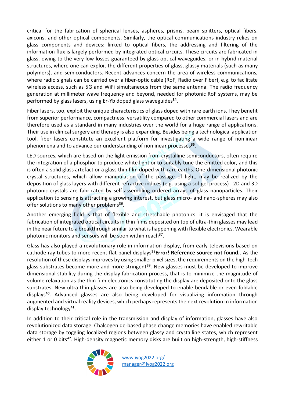critical for the fabrication of spherical lenses, aspheres, prisms, beam splitters, optical fibers, axicons, and other optical components. Similarly, the optical communications industry relies on glass components and devices: linked to optical fibers, the addressing and filtering of the information flux is largely performed by integrated optical circuits. These circuits are fabricated in glass, owing to the very low losses guaranteed by glass optical waveguides, or in hybrid material structures, where one can exploit the different properties of glass, glassy materials (such as many polymers), and semiconductors. Recent advances concern the area of wireless communications, where radio signals can be carried over a fiber-optic cable (RoF, Radio over Fiber), e.g. to facilitate wireless access, such as 5G and WiFi simultaneous from the same antenna. The radio frequency generation at millimeter wave frequency and beyond, needed for photonic RoF systems, may be performed by glass lasers, using Er-Yb doped glass waveguides**<sup>34</sup>** .

Fiber lasers, too, exploit the unique characteristics of glass doped with rare earth ions. They benefit from superior performance, compactness, versatility compared to other commercial lasers and are therefore used as a standard in many industries over the world for a huge range of applications. Their use in clinical surgery and therapy is also expanding. Besides being a technological application tool, fiber lasers constitute an excellent platform for investigating a wide range of nonlinear phenomena and to advance our understanding of nonlinear processes**<sup>35</sup>** .

LED sources, which are based on the light emission from crystalline semiconductors, often require the integration of a phosphor to produce white light or to suitably tune the emitted color, and this is often a solid glass artefact or a glass thin film doped with rare earths. One-dimensional photonic crystal structures, which allow manipulation of the passage of light, may be realized by the deposition of glass layers with different refractive indices (e.g. using a sol-gel process) . 2D and 3D photonic crystals are fabricated by self-assembling ordered arrays of glass nanoparticles. Their application to sensing is attracting a growing interest, but glass micro- and nano-spheres may also offer solutions to many other problems<sup>36</sup>.

Another emerging field is that of flexible and stretchable photonics: it is envisaged that the fabrication of integrated optical circuits in thin films deposited on top of ultra-thin glasses may lead in the near future to a breakthrough similar to what is happening with flexible electronics. Wearable photonic monitors and sensors will be soon within reach<sup>37</sup>.

Glass has also played a revolutionary role in information display, from early televisions based on cathode ray tubes to more recent flat panel displays**<sup>38</sup>Error! Reference source not found.**. As the resolution of these displays improves by using smaller pixel sizes, the requirements on the high-tech glass substrates become more and more stringent**<sup>39</sup>** . New glasses must be developed to improve dimensional stability during the display fabrication process, that is to minimize the magnitude of volume relaxation as the thin film electronics constituting the display are deposited onto the glass substrates. New ultra-thin glasses are also being developed to enable bendable or even foldable displays**<sup>40</sup>**. Advanced glasses are also being developed for visualizing information through augmented and virtual reality devices, which perhaps represents the next revolution in information display technology**<sup>41</sup>** .

In addition to their critical role in the transmission and display of information, glasses have also revolutionized data storage. Chalcogenide-based phase change memories have enabled rewritable data storage by toggling localized regions between glassy and crystalline states, which represent either 1 or 0 bits<sup>42</sup>. High-density magnetic memory disks are built on high-strength, high-stiffness

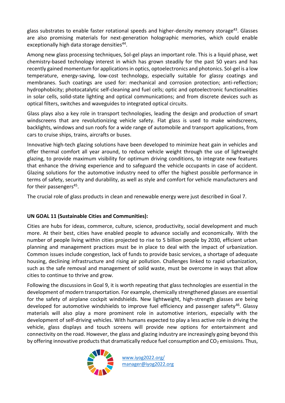glass substrates to enable faster rotational speeds and higher-density memory storage<sup>43</sup>. Glasses are also promising materials for next-generation holographic memories, which could enable exceptionally high data storage densities<sup>44</sup>.

Among new glass processing techniques, Sol-gel plays an important role. This is a liquid phase, wet chemistry-based technology interest in which has grown steadily for the past 50 years and has recently gained momentum for applications in optics, optoelectronics and photonics. Sol-gel is a low temperature, energy-saving, low-cost technology, especially suitable for glassy coatings and membranes. Such coatings are used for: mechanical and corrosion protection; anti-reflection; hydrophobicity; photocatalytic self-cleaning and fuel cells; optic and optoelectronic functionalities in solar cells, solid-state lighting and optical communications; and from discrete devices such as optical filters, switches and waveguides to integrated optical circuits.

Glass plays also a key role in transport technologies, leading the design and production of smart windscreens that are revolutionizing vehicle safety. Flat glass is used to make windscreens, backlights, windows and sun roofs for a wide range of automobile and transport applications, from cars to cruise ships, trains, aircrafts or buses.

Innovative high-tech glazing solutions have been developed to minimize heat gain in vehicles and offer thermal comfort all year around, to reduce vehicle weight through the use of lightweight glazing, to provide maximum visibility for optimum driving conditions, to integrate new features that enhance the driving experience and to safeguard the vehicle occupants in case of accident. Glazing solutions for the automotive industry need to offer the highest possible performance in terms of safety, security and durability, as well as style and comfort for vehicle manufacturers and for their passengers<sup>45</sup>.

The crucial role of glass products in clean and renewable energy were just described in Goal 7.

#### **UN GOAL 11 (Sustainable Cities and Communities):**

Cities are hubs for ideas, commerce, culture, science, productivity, social development and much more. At their best, cities have enabled people to advance socially and economically. With the number of people living within cities projected to rise to 5 billion people by 2030, efficient urban planning and management practices must be in place to deal with the impact of urbanization. Common issues include congestion, lack of funds to provide basic services, a shortage of adequate housing, declining infrastructure and rising air pollution. Challenges linked to rapid urbanization, such as the safe removal and management of solid waste, must be overcome in ways that allow cities to continue to thrive and grow.

Following the discussions in Goal 9, it is worth repeating that glass technologies are essential in the development of modern transportation. For example, chemically strengthened glasses are essential for the safety of airplane cockpit windshields. New lightweight, high-strength glasses are being developed for automotive windshields to improve fuel efficiency and passenger safety<sup>46</sup>. Glassy materials will also play a more prominent role in automotive interiors, especially with the development of self-driving vehicles. With humans expected to play a less active role in driving the vehicle, glass displays and touch screens will provide new options for entertainment and connectivity on the road. However, the glass and glazing industry are increasingly going beyond this by offering innovative products that dramatically reduce fuel consumption and  $CO<sub>2</sub>$  emissions. Thus,

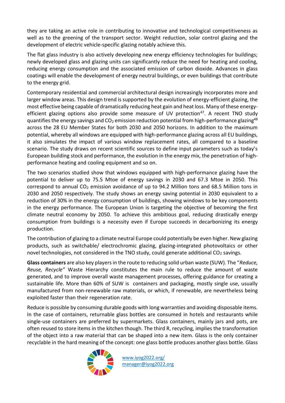they are taking an active role in contributing to innovative and technological competitiveness as well as to the greening of the transport sector. Weight reduction, solar control glazing and the development of electric vehicle-specific glazing notably achieve this.

The flat glass industry is also actively developing new energy efficiency technologies for buildings; newly developed glass and glazing units can significantly reduce the need for heating and cooling, reducing energy consumption and the associated emission of carbon dioxide. Advances in glass coatings will enable the development of energy neutral buildings, or even buildings that contribute to the energy grid.

Contemporary residential and commercial architectural design increasingly incorporates more and larger window areas. This design trend is supported by the evolution of energy-efficient glazing, the most effective being capable of dramatically reducing heat gain and heat loss. Many of these energyefficient glazing options also provide some measure of UV protection<sup>47</sup>. A recent TNO study quantifies the energy savings and  $CO<sub>2</sub>$  emission reduction potential from high-performance glazing<sup>48</sup> across the 28 EU Member States for both 2030 and 2050 horizons. In addition to the maximum potential, whereby all windows are equipped with high-performance glazing across all EU buildings, it also simulates the impact of various window replacement rates, all compared to a baseline scenario. The study draws on recent scientific sources to define input parameters such as today's European building stock and performance, the evolution in the energy mix, the penetration of highperformance heating and cooling equipment and so on.

The two scenarios studied show that windows equipped with high-performance glazing have the potential to deliver up to 75.5 Mtoe of energy savings in 2030 and 67.3 Mtoe in 2050. This correspond to annual  $CO<sub>2</sub>$  emission avoidance of up to 94.2 Million tons and 68.5 Million tons in 2030 and 2050 respectively. The study shows an energy saving potential in 2030 equivalent to a reduction of 30% in the energy consumption of buildings, showing windows to be key components in the energy performance. The European Union is targeting the objective of becoming the first climate neutral economy by 2050. To achieve this ambitious goal, reducing drastically energy consumption from buildings is a necessity even if Europe succeeds in decarbonizing its energy production.

The contribution of glazing to a climate neutral Europe could potentially be even higher. New glazing products, such as switchable/ electrochromic glazing, glazing-integrated photovoltaics or other novel technologies, not considered in the TNO study, could generate additional  $CO<sub>2</sub>$  savings.

**Glass containers** are also key players in the route to reducing solid urban waste (SUW). The "*Reduce, Reuse, Recycle"* Waste Hierarchy constitutes the main rule to reduce the amount of waste generated, and to improve overall waste management processes, offering guidance for creating a sustainable life. More than 60% of SUW is containers and packaging, mostly single use, usually manufactured from non-renewable raw materials, or which, if renewable, are nevertheless being exploited faster than their regeneration rate.

Reduce is possible by consuming durable goods with long warranties and avoiding disposable items. In the case of containers, returnable glass bottles are consumed in hotels and restaurants while single-use containers are preferred by supermarkets. Glass containers, mainly jars and pots, are often reused to store items in the kitchen though. The third R, recycling, implies the transformation of the object into a raw material that can be shaped into a new item. Glass is the only container recyclable in the hard meaning of the concept: one glass bottle produces another glass bottle. Glass

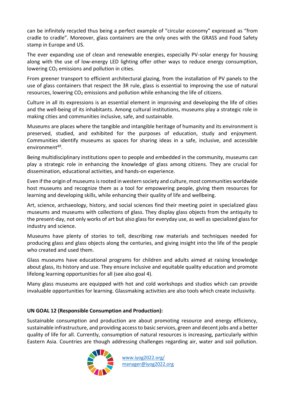can be infinitely recycled thus being a perfect example of "circular economy" expressed as "from cradle to cradle". Moreover, glass containers are the only ones with the GRASS and Food Safety stamp in Europe and US.

The ever expanding use of clean and renewable energies, especially PV-solar energy for housing along with the use of low-energy LED lighting offer other ways to reduce energy consumption, lowering  $CO<sub>2</sub>$  emissions and pollution in cities.

From greener transport to efficient architectural glazing, from the installation of PV panels to the use of glass containers that respect the 3R rule, glass is essential to improving the use of natural resources, lowering  $CO<sub>2</sub>$  emissions and pollution while enhancing the life of citizens.

Culture in all its expressions is an essential element in improving and developing the life of cities and the well-being of its inhabitants. Among cultural institutions, museums play a strategic role in making cities and communities inclusive, safe, and sustainable.

Museums are places where the tangible and intangible heritage of humanity and its environment is preserved, studied, and exhibited for the purposes of education, study and enjoyment. Communities identify museums as spaces for sharing ideas in a safe, inclusive, and accessible environment<sup>49</sup>.

Being multidisciplinary institutions open to people and embedded in the community, museums can play a strategic role in enhancing the knowledge of glass among citizens. They are crucial for dissemination, educational activities, and hands-on experience.

Even if the origin of museums is rooted in western society and culture, most communities worldwide host museums and recognize them as a tool for empowering people, giving them resources for learning and developing skills, while enhancing their quality of life and wellbeing.

Art, science, archaeology, history, and social sciences find their meeting point in specialized glass museums and museums with collections of glass. They display glass objects from the antiquity to the present-day, not only works of art but also glass for everyday use, as well as specialized glass for industry and science.

Museums have plenty of stories to tell, describing raw materials and techniques needed for producing glass and glass objects along the centuries, and giving insight into the life of the people who created and used them.

Glass museums have educational programs for children and adults aimed at raising knowledge about glass, its history and use. They ensure inclusive and equitable quality education and promote lifelong learning opportunities for all (see also goal 4).

Many glass museums are equipped with hot and cold workshops and studios which can provide invaluable opportunities for learning. Glassmaking activities are also tools which create inclusivity.

#### **UN GOAL 12 (Responsible Consumption and Production):**

Sustainable consumption and production are about promoting resource and energy efficiency, sustainable infrastructure, and providing access to basic services, green and decent jobs and a better quality of life for all. Currently, consumption of natural resources is increasing, particularly within Eastern Asia. Countries are though addressing challenges regarding air, water and soil pollution.

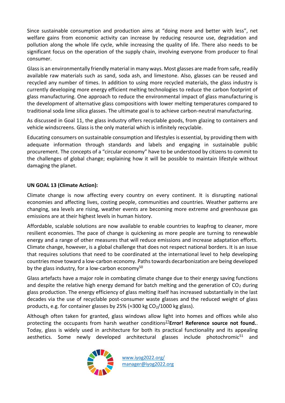Since sustainable consumption and production aims at "doing more and better with less", net welfare gains from economic activity can increase by reducing resource use, degradation and pollution along the whole life cycle, while increasing the quality of life. There also needs to be significant focus on the operation of the supply chain, involving everyone from producer to final consumer.

Glass is an environmentally friendly material in many ways. Most glasses are made from safe, readily available raw materials such as sand, soda ash, and limestone. Also, glasses can be reused and recycled any number of times. In addition to using more recycled materials, the glass industry is currently developing more energy efficient melting technologies to reduce the carbon footprint of glass manufacturing. One approach to reduce the environmental impact of glass manufacturing is the development of alternative glass compositions with lower melting temperatures compared to traditional soda lime silica glasses. The ultimate goal is to achieve carbon-neutral manufacturing.

As discussed in Goal 11, the glass industry offers recyclable goods, from glazing to containers and vehicle windscreens. Glass is the only material which is infinitely recyclable.

Educating consumers on sustainable consumption and lifestyles is essential, by providing them with adequate information through standards and labels and engaging in sustainable public procurement. The concepts of a "circular economy" have to be understood by citizens to commit to the challenges of global change; explaining how it will be possible to maintain lifestyle without damaging the planet.

#### **UN GOAL 13 (Climate Action):**

Climate change is now affecting every country on every continent. It is disrupting national economies and affecting lives, costing people, communities and countries. Weather patterns are changing, sea levels are rising, weather events are becoming more extreme and greenhouse gas emissions are at their highest levels in human history.

Affordable, scalable solutions are now available to enable countries to leapfrog to cleaner, more resilient economies. The pace of change is quickening as more people are turning to renewable energy and a range of other measures that will reduce emissions and increase adaptation efforts. Climate change, however, is a global challenge that does not respect national borders. It is an issue that requires solutions that need to be coordinated at the international level to help developing countries move toward a low-carbon economy. Paths towards decarbonization are being developed by the glass industry, for a low-carbon economy $50$ 

Glass artefacts have a major role in combating climate change due to their energy saving functions and despite the relative high energy demand for batch melting and the generation of  $CO<sub>2</sub>$  during glass production. The energy efficiency of glass melting itself has increased substantially in the last decades via the use of recyclable post-consumer waste glasses and the reduced weight of glass products, e.g. for container glasses by 25% ( $\approx$ 300 kg CO<sub>2</sub>/1000 kg glass).

Although often taken for granted, glass windows allow light into homes and offices while also protecting the occupants from harsh weather conditions<sup>[27](#page-17-0)</sup>**Error! Reference source not found.**. Today, glass is widely used in architecture for both its practical functionality and its appealing aesthetics. Some newly developed architectural glasses include photochromic<sup>51</sup> and

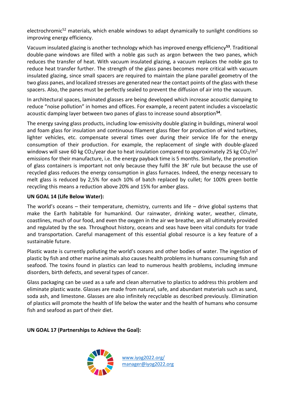electrochromic<sup>52</sup> materials, which enable windows to adapt dynamically to sunlight conditions so improving energy efficiency.

Vacuum insulated glazing is another technology which has improved energy efficiency**<sup>53</sup>**. Traditional double-pane windows are filled with a noble gas such as argon between the two panes, which reduces the transfer of heat. With vacuum insulated glazing, a vacuum replaces the noble gas to reduce heat transfer further. The strength of the glass panes becomes more critical with vacuum insulated glazing, since small spacers are required to maintain the plane parallel geometry of the two glass panes, and localized stresses are generated near the contact points of the glass with these spacers. Also, the panes must be perfectly sealed to prevent the diffusion of air into the vacuum.

In architectural spaces, laminated glasses are being developed which increase acoustic damping to reduce "noise pollution" in homes and offices. For example, a recent patent includes a viscoelastic acoustic damping layer between two panes of glass to increase sound absorption**<sup>54</sup>** .

The energy saving glass products, including low-emissivity double glazing in buildings, mineral wool and foam glass for insulation and continuous filament glass fiber for production of wind turbines, lighter vehicles, etc. compensate several times over during their service life for the energy consumption of their production. For example, the replacement of single with double-glazed windows will save 60 kg CO<sub>2</sub>/year due to heat insulation compared to approximately 25 kg CO<sub>2</sub>/m<sup>2</sup> emissions for their manufacture, i.e. the energy payback time is 5 months. Similarly, the promotion of glass containers is important not only because they fulfil the 3R' rule but because the use of recycled glass reduces the energy consumption in glass furnaces. Indeed, the energy necessary to melt glass is reduced by 2,5% for each 10% of batch replaced by cullet; for 100% green bottle recycling this means a reduction above 20% and 15% for amber glass.

#### **UN GOAL 14 (Life Below Water):**

The world's oceans – their temperature, chemistry, currents and life – drive global systems that make the Earth habitable for humankind. Our rainwater, drinking water, weather, climate, coastlines, much of our food, and even the oxygen in the air we breathe, are all ultimately provided and regulated by the sea. Throughout history, oceans and seas have been vital conduits for trade and transportation. Careful management of this essential global resource is a key feature of a sustainable future.

Plastic waste is currently polluting the world's oceans and other bodies of water. The ingestion of plastic by fish and other marine animals also causes health problems in humans consuming fish and seafood. The toxins found in plastics can lead to numerous health problems, including immune disorders, birth defects, and several types of cancer.

Glass packaging can be used as a safe and clean alternative to plastics to address this problem and eliminate plastic waste. Glasses are made from natural, safe, and abundant materials such as sand, soda ash, and limestone. Glasses are also infinitely recyclable as described previously. Elimination of plastics will promote the health of life below the water and the health of humans who consume fish and seafood as part of their diet.

**UN GOAL 17 (Partnerships to Achieve the Goal):** 

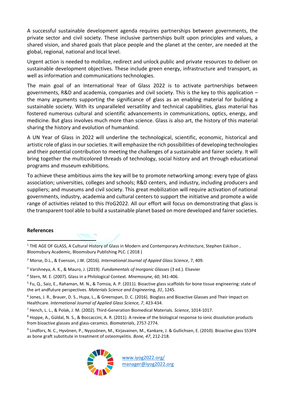A successful sustainable development agenda requires partnerships between governments, the private sector and civil society. These inclusive partnerships built upon principles and values, a shared vision, and shared goals that place people and the planet at the center, are needed at the global, regional, national and local level.

Urgent action is needed to mobilize, redirect and unlock public and private resources to deliver on sustainable development objectives. These include green energy, infrastructure and transport, as well as information and communications technologies.

The main goal of an International Year of Glass 2022 is to activate partnerships between governments, R&D and academia, companies and civil society. This is the key to this application – the many arguments supporting the significance of glass as an enabling material for building a sustainable society. With its unparalleled versatility and technical capabilities, glass material has fostered numerous cultural and scientific advancements in communications, optics, energy, and medicine. But glass involves much more than science. Glass is also art, the history of this material sharing the history and evolution of humankind.

A UN Year of Glass in 2022 will underline the technological, scientific, economic, historical and artistic role of glass in our societies. It will emphasize the rich possibilities of developing technologies and their potential contribution to meeting the challenges of a sustainable and fairer society. It will bring together the multicolored threads of technology, social history and art through educational programs and museum exhibitions.

To achieve these ambitious aims the key will be to promote networking among: every type of glass association; universities, colleges and schools; R&D centers, and industry, including producers and suppliers; and museums and civil society. This great mobilization will require activation of national governments, industry, academia and cultural centers to support the initiative and promote a wide range of activities related to this IYoG2022. All our effort will focus on demonstrating that glass is the transparent tool able to build a sustainable planet based on more developed and fairer societies.

#### <span id="page-17-0"></span>**References**

- <sup>1</sup> THE AGE OF GLASS, A Cultural History of Glass in Modern and Contemporary Architecture, Stephen Eskilson, Bloomsbury Academic, Bloomsbury Publishing PLC. ( 2018 )
- <sup>2</sup> Morse, D.L., & Evenson, J.W. (2016). *International Journal of Appied Glass Science*, 7, 409.
- <sup>3</sup> Varshneya, A. K., & Mauro, J. (2019). *Fundamentals of Inorganic Glasses* (3 ed.). Elsevier
- 4 Stern, M. E. (2007). Glass in a Philological Context. *Mnemosyne, 60*, 341-406.

<sup>5</sup> Fu, Q., Saiz, E., Rahaman, M. N., & Tomsia, A. P. (2011). Bioactive glass scaffolds for bone tissue engineering: state of the art andfuture perspectives. *Materials Science and Engineering, 31*, 1245.

<sup>6</sup> Jones, J. R., Brauer, D. S., Hupa, L., & Greenspan, D. C. (2016). Bioglass and Bioactive Glasses and Their Impact on Healthcare. *International Journal of Applied Glass Science, 7*, 423-434.

<sup>7</sup> Hench, L. L., & Polak, J. M. (2002). Third-Generation Biomedical Materials. *Science*, 1014-1017.

<sup>8</sup> Hoppe, A., Güldal, N. S., & Boccaccini, A. R. (2011). A review of the biological response to ionic dissolution products from bioactive glasses and glass-ceramics. *Biomaterials*, 2757-2774.

<sup>9</sup> Lindfors, N. C., Hyvönen, P., Nyyssönen, M., Kirjavainen, M., Kankare, J. & Gullichsen, E. (2010). Bioactive glass S53P4 as bone graft substitute in treatment of osteomyelitis. *Bone, 47*, 212-218.

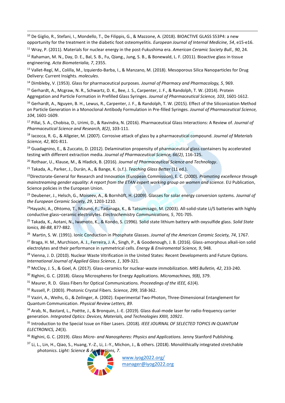<sup>10</sup> De Giglio, R., Stefani, I., Mondello, T., De Filippis, G., & Mazzone, A. (2018). BIOACTIVE GLASS S53P4: a new opportunity for the treatment in the diabetic foot osteomyelitis. *European Journal of Internal Medicine, 54*, e15-e16.

<sup>11</sup> Wray, P. (2011). Materials for nuclear energy in the post-Fukushima era. *American Ceramic Society Bull., 90*, 24.

<sup>12</sup> Rahaman, M. N., Day, D. E., Bal, S. B., Fu, Qiang., Jung, S. B., & Bonewald, L. F. (2011). Bioactive glass in tissue engineering. *Acta Biomaterialia, 7*, 2355.

<sup>13</sup> Vallet-Regí, M., Colilla, M., Izquierdo-Barba, I., & Manzano, M. (2018). Mesoporous Silica Nanoparticles for Drug Delivery: Current Insights. *molecules*.

<sup>14</sup> Dimbleby, V. (1953). Glass for pharmaceutical purposes. *Journal of Pharmacy and Pharmacology, 5*, 969.

<sup>15</sup> Gerhardt, A., Mcgraw, N. R., Schwartz, D. K., Bee, J. S., Carpenter, J. F., & Randolph, T. W. (2014). Protein Aggregation and Particle Formation in Prefilled Glass Syringes. *Journal of Pharmaceutical Science, 103*, 1601-1612.

<sup>16</sup> Gerhardt, A., Nguyen, B. H., Lewus, R., Carpenter, J. F., & Randolph, T. W. (2015). Effect of the Siliconization Method on Particle Generation in a Monoclonal Antibody Formulation in Pre-filled Syringes. *Journal of Pharmaceutical Science, 104*, 1601-1609.

<sup>17</sup> Pillai, S. A., Chobisa, D., Urimi, D., & Ravindra, N. (2016). Pharmaceutical Glass Interactions: A Review of. *Journal of Pharmaceutical Science and Research, 8(2)*, 103-111.

<sup>18</sup> Iacocca, R. G., & Allgeier, M. (2007). Corrosive attack of glass by a pharmaceutical compound. *Journal of Materials Science, 42*, 801-811.

<sup>19</sup> Guadagnino, E., & Zuccato, D. (2012). Delamination propensity of pharmaceutical glass containers by accelerated testing with different extraction media. *Journal of Pharmaceutical Science, 66(2)*, 116-125.

<sup>20</sup> Rothaar, U., Klause, M., & Hladick, B. (2016). *Journal of Pharmaceutical Science and Technology*.

<sup>21</sup> Takada, A., Parker, J., Durán, A., & Bange, K. (s.f.). *Teaching Glass Better* (11 ed.).

<sup>22</sup>Directorate-General for Research and Innovation (European Commission), E. C. (2000). *Promoting excellence through mainstreaming gender equality: A report from the ETAN expert working group on women and science.* EU Publication, Science policies in the European Union.

<sup>23</sup> Deubener, J., Helsch, G., Moiseev, A., & Bornhöft, H. (2009). Glasses for solar energy conversion systems. *Journal of the European Ceramic Society, 29*, 1203-1210.

<sup>24</sup>Hayashi, A., Ohtomo, T., Mizuno, F., Tadanaga, K., & Tatsumisago, M. (2003). All-solid-state Li/S batteries with highly conductive glass–ceramic electrolytes. *Electrochemistry Communications, 5*, 701-705.

<sup>25</sup> Takada, K., Aotani, N., Iwamoto, K., & Kondo, S. (1996). Solid state lithium battery with oxysulfide glass. *Solid State Ionics, 86-88*, 877-882.

26 Martin, S. W. (1991). Ionic Conduction in Phosphate Glasses. *Journal of the American Ceramic Society, 74*, 1767.

<sup>27</sup> Braga, H. M., Murchison, A. J., Ferreira, J. A., Singh, P., & Goodenough, J. B. (2016). Glass-amorphous alkali-ion solid electrolytes and their performance in symmetrical cells. *Energy & Enviromental Science, 9*, 948.

<sup>28</sup> Vienna, J. D. (2010). Nuclear Waste Vitrification in the United States: Recent Developments and Future Options. *International Journal of Applied Glass Science, 1*, 309-321.

<sup>29</sup> McCloy, J. S., & Goel, A. (2017). Glass-ceramics for nuclear-waste immobilization. *MRS Bulletin, 42*, 233-240.

<sup>30</sup> Righini, G. C. (2018). Glassy Microspheres for Energy Applications. *Micromachines, 9(8)*, 379.

<sup>31</sup> Maurer, R. D. Glass Fibers for Optical Communications. *Proceedings of the IEEE, 61*(4).

<sup>32</sup> Russell, P. (2003). Photonic Crystal Fibers. *Science, 299*, 358-362.

33 Vaziri, A., Weihs, G., & Zeilinger, A. (2002). Experimental Two-Photon, Three-Dimensional Entanglement for Quantum Communication. *Physical Review Letters, 89*.

34 Arab, N., Bastard, L., Poëtte, J., & Bronquin, J.-E. (2019). Glass dual-mode laser for radio-frequency carrier generation. *Integrated Optics: Devices, Materials, and Technologies XXIII, 10921*.

<sup>35</sup> Introduction to the Special Issue on Fiber Lasers. (2018). *IEEE JOURNAL OF SELECTED TOPICS IN QUANTUM ELECTRONICS, 24*(3).

<sup>36</sup> Righini, G. C. (2019). *Glass Micro- and Nanospheres: Physics and Applications.* Jenny Stanford Publishing.

<sup>37</sup> Li, L., Lin, H., Qiao, S., Huang, Y.-Z., Li, J.-Y., Michon, J., & others. (2018). Monolithically integrated stretchable photonics. *Light: Science & Applications, 7*.



[manager@iyog2022.org](mailto:manager@iyog2022.org)